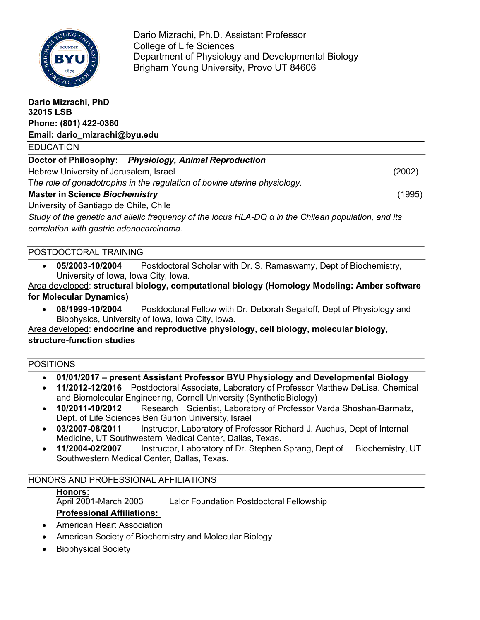

Dario Mizrachi, Ph.D. Assistant Professor College of Life Sciences Department of Physiology and Developmental Biology Brigham Young University, Provo UT 84606

| Dario Mizrachi, PhD<br>32015 LSB                                                                                                                |        |
|-------------------------------------------------------------------------------------------------------------------------------------------------|--------|
| Phone: (801) 422-0360                                                                                                                           |        |
| Email: dario_mizrachi@byu.edu                                                                                                                   |        |
| <b>EDUCATION</b>                                                                                                                                |        |
| Doctor of Philosophy: Physiology, Animal Reproduction                                                                                           |        |
| Hebrew University of Jerusalem, Israel                                                                                                          | (2002) |
| The role of gonadotropins in the regulation of bovine uterine physiology.                                                                       |        |
| <b>Master in Science Biochemistry</b>                                                                                                           | (1995) |
| University of Santiago de Chile, Chile                                                                                                          |        |
| Study of the genetic and allelic frequency of the locus HLA-DQ a in the Chilean population, and its<br>correlation with gastric adenocarcinoma. |        |

### POSTDOCTORAL TRAINING

• **05/2003-10/2004** Postdoctoral Scholar with Dr. S. Ramaswamy, Dept of Biochemistry, University of Iowa, Iowa City, Iowa.

Area developed: **structural biology, computational biology (Homology Modeling: Amber software for Molecular Dynamics)**

• **08/1999-10/2004** Postdoctoral Fellow with Dr. Deborah Segaloff, Dept of Physiology and Biophysics, University of Iowa, Iowa City, Iowa.

Area developed: **endocrine and reproductive physiology, cell biology, molecular biology, structure-function studies**

## POSITIONS

- **01/01/2017 – present Assistant Professor BYU Physiology and Developmental Biology**
- **11/2012-12/2016** Postdoctoral Associate, Laboratory of Professor Matthew DeLisa. Chemical and Biomolecular Engineering, Cornell University (SyntheticBiology)
- **10/2011-10/2012** Research Scientist, Laboratory of Professor Varda Shoshan-Barmatz, Dept. of Life Sciences Ben Gurion University, Israel
- **03/2007-08/2011** Instructor, Laboratory of Professor Richard J. Auchus, Dept of Internal Medicine, UT Southwestern Medical Center, Dallas, Texas.
- **11/2004-02/2007** Instructor, Laboratory of Dr. Stephen Sprang, Dept of Biochemistry, UT Southwestern Medical Center, Dallas, Texas.

# HONORS AND PROFESSIONAL AFFILIATIONS

# **Honors:** April 2001-March 2003 Lalor Foundation Postdoctoral Fellowship **Professional Affiliations:**

- American Heart Association
- American Society of Biochemistry and Molecular Biology
- Biophysical Society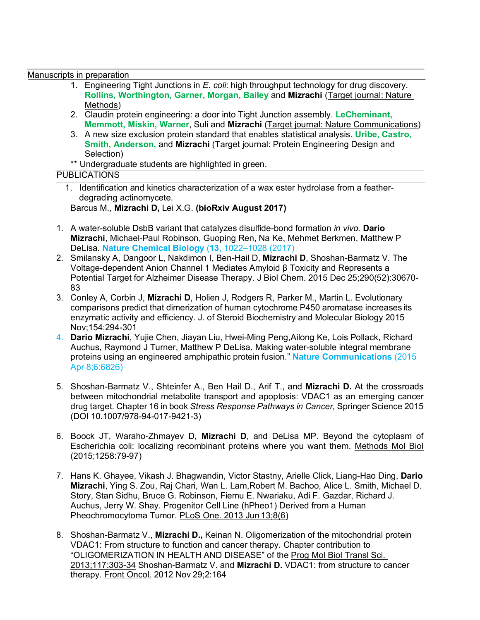Manuscripts in preparation

- 1. Engineering Tight Junctions in *E. coli*: high throughput technology for drug discovery. **Rollins, Worthington, Garner, Morgan, Bailey** and **Mizrachi** (Target journal: Nature Methods)
- 2. Claudin protein engineering: a door into Tight Junction assembly. **LeCheminant, Memmott, Miskin, Warner**, Suli and **Mizrachi** (Target journal: Nature Communications)
- 3. A new size exclusion protein standard that enables statistical analysis. **Uribe, Castro, Smith, Anderson,** and **Mizrachi** (Target journal: Protein Engineering Design and Selection)
- \*\* Undergraduate students are highlighted in green.

## PUBLICATIONS

1. Identification and kinetics characterization of a wax ester hydrolase from a featherdegrading actinomycete.

Barcus M., **Mizrachi D,** Lei X.G. **(bioRxiv August 2017)**

- 1. A water-soluble DsbB variant that catalyzes disulfide-bond formation *in vivo.* **Dario Mizrachi**, Michael-Paul Robinson, Guoping Ren, Na Ke, Mehmet Berkmen, Matthew P DeLisa. **Nature Chemical Biology** (**13**, 1022–1028 (2017)
- 2. Smilansky A, Dangoor L, Nakdimon I, Ben-Hail D, **Mizrachi D**, Shoshan-Barmatz V. The Voltage-dependent Anion Channel 1 Mediates Amyloid β Toxicity and Represents a Potential Target for Alzheimer Disease Therapy. J Biol Chem. 2015 Dec 25;290(52):30670- 83
- 3. Conley A, Corbin J, **Mizrachi D**, Holien J, Rodgers R, Parker M., Martin L. Evolutionary comparisons predict that dimerization of human cytochrome P450 aromatase increases its enzymatic activity and efficiency. J. of Steroid Biochemistry and Molecular Biology 2015 Nov;154:294-301
- 4. **Dario Mizrachi**, Yujie Chen, Jiayan Liu, Hwei-Ming Peng,Ailong Ke, Lois Pollack, Richard Auchus, Raymond J Turner, Matthew P DeLisa. Making water-soluble integral membrane proteins using an engineered amphipathic protein fusion." **Nature Communications** (2015 Apr 8;6:6826)
- 5. Shoshan-Barmatz V., Shteinfer A., Ben Hail D., Arif T., and **Mizrachi D.** At the crossroads between mitochondrial metabolite transport and apoptosis: VDAC1 as an emerging cancer drug target. Chapter 16 in book *Stress Response Pathways in Cancer,* Springer Science 2015 (DOI 10.1007/978-94-017-9421-3)
- 6. Boock JT, Waraho-Zhmayev D, **Mizrachi D**, and DeLisa MP. Beyond the cytoplasm of Escherichia coli: localizing recombinant proteins where you want them. Methods Mol Biol (2015;1258:79-97)
- 7. Hans K. Ghayee, Vikash J. Bhagwandin, Victor Stastny, Arielle Click, Liang-Hao Ding, **Dario Mizrachi**, Ying S. Zou, Raj Chari, Wan L. Lam,Robert M. Bachoo, Alice L. Smith, Michael D. Story, Stan Sidhu, Bruce G. Robinson, Fiemu E. Nwariaku, Adi F. Gazdar, Richard J. Auchus, Jerry W. Shay. Progenitor Cell Line (hPheo1) Derived from a Human Pheochromocytoma Tumor. PLoS One. 2013 Jun 13;8(6)
- 8. Shoshan-Barmatz V., **Mizrachi D.,** Keinan N. Oligomerization of the mitochondrial protein VDAC1: From structure to function and cancer therapy. Chapter contribution to "OLIGOMERIZATION IN HEALTH AND DISEASE" of the Prog Mol Biol Transl Sci. 2013;117:303-34 Shoshan-Barmatz V. and **Mizrachi D.** VDAC1: from structure to cancer therapy. Front Oncol. 2012 Nov 29;2:164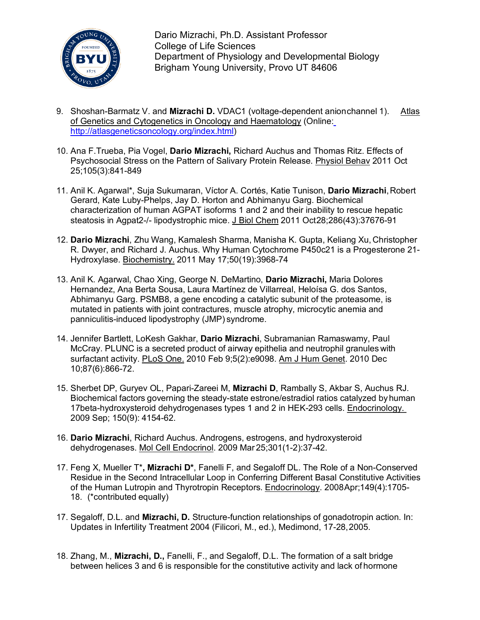

Dario Mizrachi, Ph.D. Assistant Professor College of Life Sciences Department of Physiology and Developmental Biology Brigham Young University, Provo UT 84606

- 9. Shoshan-Barmatz V. and **Mizrachi D.** VDAC1 (voltage-dependent anionchannel 1). Atlas of Genetics and Cytogenetics in Oncology and Haematology (Online: http://atlasgeneticsoncology.org/index.html)
- 10. Ana F.Trueba, Pia Vogel, **Dario Mizrachi,** Richard Auchus and Thomas Ritz. Effects of Psychosocial Stress on the Pattern of Salivary Protein Release. Physiol Behav 2011 Oct 25;105(3):841-849
- 11. Anil K. Agarwal\*, Suja Sukumaran, Víctor A. Cortés, Katie Tunison, **Dario Mizrachi**,Robert Gerard, Kate Luby-Phelps, Jay D. Horton and Abhimanyu Garg. Biochemical characterization of human AGPAT isoforms 1 and 2 and their inability to rescue hepatic steatosis in Agpat2-/- lipodystrophic mice. J Biol Chem 2011 Oct28;286(43):37676-91
- 12. **Dario Mizrachi**, Zhu Wang, Kamalesh Sharma, Manisha K. Gupta, Keliang Xu, Christopher R. Dwyer, and Richard J. Auchus. Why Human Cytochrome P450c21 is a Progesterone 21- Hydroxylase. Biochemistry. 2011 May 17;50(19):3968-74
- 13. Anil K. Agarwal, Chao Xing, George N. DeMartino, **Dario Mizrachi,** Maria Dolores Hernandez, Ana Berta Sousa, Laura Martínez de Villarreal, Heloísa G. dos Santos, Abhimanyu Garg. PSMB8, a gene encoding a catalytic subunit of the proteasome, is mutated in patients with joint contractures, muscle atrophy, microcytic anemia and panniculitis-induced lipodystrophy (JMP) syndrome.
- 14. Jennifer Bartlett, LoKesh Gakhar, **Dario Mizrachi**, Subramanian Ramaswamy, Paul McCray. PLUNC is a secreted product of airway epithelia and neutrophil granules with surfactant activity. PLoS One. 2010 Feb 9;5(2):e9098. Am J Hum Genet. 2010 Dec 10;87(6):866-72.
- 15. Sherbet DP, Guryev OL, Papari-Zareei M, **Mizrachi D**, Rambally S, Akbar S, Auchus RJ. Biochemical factors governing the steady-state estrone/estradiol ratios catalyzed byhuman 17beta-hydroxysteroid dehydrogenases types 1 and 2 in HEK-293 cells. Endocrinology. 2009 Sep; 150(9): 4154-62.
- 16. **Dario Mizrachi**, Richard Auchus. Androgens, estrogens, and hydroxysteroid dehydrogenases. Mol Cell Endocrinol. 2009 Mar 25;301(1-2):37-42.
- 17. Feng X, Mueller T\***, Mizrachi D\***, Fanelli F, and Segaloff DL. The Role of a Non-Conserved Residue in the Second Intracellular Loop in Conferring Different Basal Constitutive Activities of the Human Lutropin and Thyrotropin Receptors. Endocrinology. 2008Apr;149(4):1705- 18. (\*contributed equally)
- 17. Segaloff, D.L. and **Mizrachi, D.** Structure-function relationships of gonadotropin action. In: Updates in Infertility Treatment 2004 (Filicori, M., ed.), Medimond, 17-28,2005.
- 18. Zhang, M., **Mizrachi, D.,** Fanelli, F., and Segaloff, D.L. The formation of a salt bridge between helices 3 and 6 is responsible for the constitutive activity and lack of hormone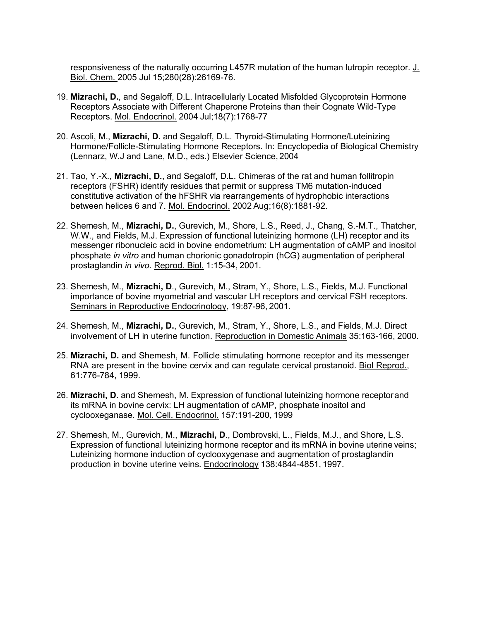responsiveness of the naturally occurring L457R mutation of the human lutropin receptor. J. Biol. Chem. 2005 Jul 15;280(28):26169-76.

- 19. **Mizrachi, D.**, and Segaloff, D.L. Intracellularly Located Misfolded Glycoprotein Hormone Receptors Associate with Different Chaperone Proteins than their Cognate Wild-Type Receptors. Mol. Endocrinol. 2004 Jul;18(7):1768-77
- 20. Ascoli, M., **Mizrachi, D.** and Segaloff, D.L. Thyroid-Stimulating Hormone/Luteinizing Hormone/Follicle-Stimulating Hormone Receptors. In: Encyclopedia of Biological Chemistry (Lennarz, W.J and Lane, M.D., eds.) Elsevier Science,2004
- 21. Tao, Y.-X., **Mizrachi, D.**, and Segaloff, D.L. Chimeras of the rat and human follitropin receptors (FSHR) identify residues that permit or suppress TM6 mutation-induced constitutive activation of the hFSHR via rearrangements of hydrophobic interactions between helices 6 and 7. Mol. Endocrinol. 2002 Aug;16(8):1881-92.
- 22. Shemesh, M., **Mizrachi, D.**, Gurevich, M., Shore, L.S., Reed, J., Chang, S.-M.T., Thatcher, W.W., and Fields, M.J. Expression of functional luteinizing hormone (LH) receptor and its messenger ribonucleic acid in bovine endometrium: LH augmentation of cAMP and inositol phosphate *in vitro* and human chorionic gonadotropin (hCG) augmentation of peripheral prostaglandin *in vivo*. Reprod. Biol. 1:15-34, 2001.
- 23. Shemesh, M., **Mizrachi, D**., Gurevich, M., Stram, Y., Shore, L.S., Fields, M.J. Functional importance of bovine myometrial and vascular LH receptors and cervical FSH receptors. Seminars in Reproductive Endocrinology, 19:87-96, 2001.
- 24. Shemesh, M., **Mizrachi, D.**, Gurevich, M., Stram, Y., Shore, L.S., and Fields, M.J. Direct involvement of LH in uterine function. Reproduction in Domestic Animals 35:163-166, 2000.
- 25. **Mizrachi, D.** and Shemesh, M. Follicle stimulating hormone receptor and its messenger RNA are present in the bovine cervix and can regulate cervical prostanoid. Biol Reprod., 61:776-784, 1999.
- 26. **Mizrachi, D.** and Shemesh, M. Expression of functional luteinizing hormone receptorand its mRNA in bovine cervix: LH augmentation of cAMP, phosphate inositol and cyclooxeganase. Mol. Cell. Endocrinol. 157:191-200, 1999
- 27. Shemesh, M., Gurevich, M., **Mizrachi, D**., Dombrovski, L., Fields, M.J., and Shore, L.S. Expression of functional luteinizing hormone receptor and its mRNA in bovine uterine veins; Luteinizing hormone induction of cyclooxygenase and augmentation of prostaglandin production in bovine uterine veins. Endocrinology 138:4844-4851, 1997.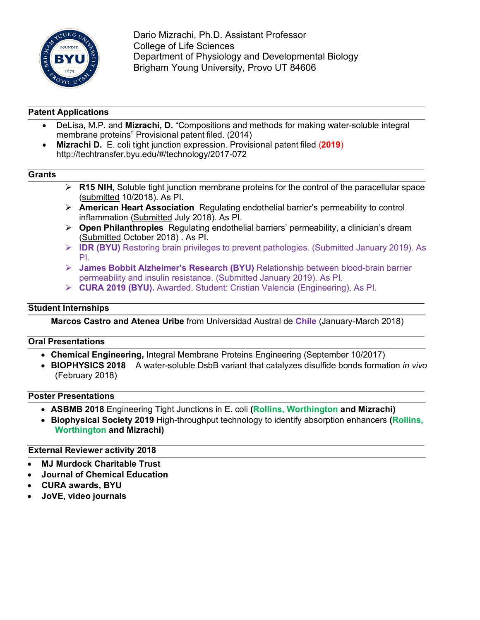

Dario Mizrachi, Ph.D. Assistant Professor College of Life Sciences Department of Physiology and Developmental Biology Brigham Young University, Provo UT 84606

# **Patent Applications**

- DeLisa, M.P. and **Mizrachi, D.** "Compositions and methods for making water-soluble integral membrane proteins" Provisional patent filed. (2014)
- **Mizrachi D.** E. coli tight junction expression. Provisional patent filed (**2019**) http://techtransfer.byu.edu/#/technology/2017-072

## **Grants**

- Ø **R15 NIH,** Soluble tight junction membrane proteins for the control of the paracellular space (submitted 10/2018). As PI.
- Ø **American Heart Association** Regulating endothelial barrier's permeability to control inflammation (Submitted July 2018). As PI.
- Ø **Open Philanthropies** Regulating endothelial barriers' permeability, a clinician's dream (Submitted October 2018) . As PI.
- Ø **IDR (BYU)** Restoring brain privileges to prevent pathologies. (Submitted January 2019). As PI.
- Ø **James Bobbit Alzheimer's Research (BYU)** Relationship between blood-brain barrier permeability and insulin resistance. (Submitted January 2019). As PI.
- Ø **CURA 2019 (BYU).** Awarded. Student: Cristian Valencia (Engineering). As PI.

### **Student Internships**

**Marcos Castro and Atenea Uribe** from Universidad Austral de **Chile** (January-March 2018)

#### **Oral Presentations**

- **Chemical Engineering,** Integral Membrane Proteins Engineering (September 10/2017)
- **BIOPHYSICS 2018** A water-soluble DsbB variant that catalyzes disulfide bonds formation *in vivo* (February 2018)

### **Poster Presentations**

- **ASBMB 2018** Engineering Tight Junctions in E. coli **(Rollins, Worthington and Mizrachi)**
- **Biophysical Society 2019** High-throughput technology to identify absorption enhancers **(Rollins, Worthington and Mizrachi)**

#### **External Reviewer activity 2018**

- **MJ Murdock Charitable Trust**
- **Journal of Chemical Education**
- **CURA awards, BYU**
- **JoVE, video journals**